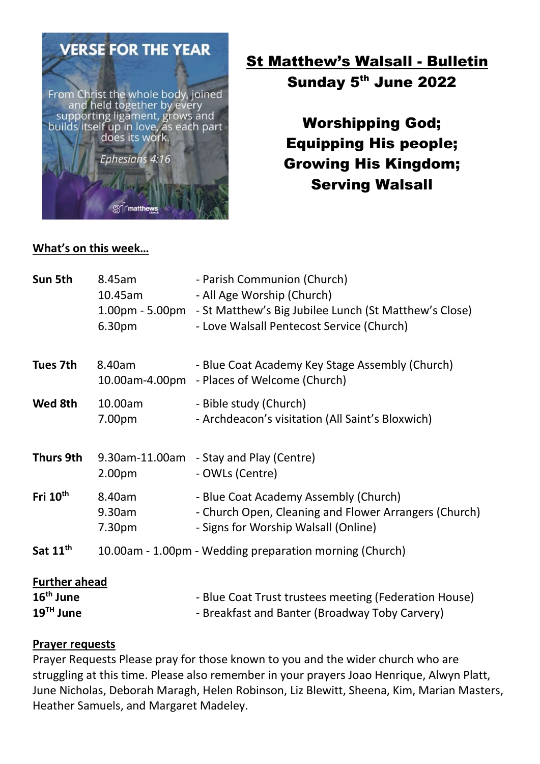

 St Matthew's Walsall - Bulletin Sunday 5<sup>th</sup> June 2022

> Worshipping God; Equipping His people; Growing His Kingdom; Serving Walsall

#### What's on this week…

| Sun 5th                                            | 8.45am<br>10.45am<br>6.30pm            | - Parish Communion (Church)<br>- All Age Worship (Church)<br>1.00pm - 5.00pm - St Matthew's Big Jubilee Lunch (St Matthew's Close)<br>- Love Walsall Pentecost Service (Church) |
|----------------------------------------------------|----------------------------------------|---------------------------------------------------------------------------------------------------------------------------------------------------------------------------------|
| Tues 7th                                           | 8.40am                                 | - Blue Coat Academy Key Stage Assembly (Church)<br>10.00am-4.00pm - Places of Welcome (Church)                                                                                  |
| Wed 8th                                            | 10.00am<br>7.00pm                      | - Bible study (Church)<br>- Archdeacon's visitation (All Saint's Bloxwich)                                                                                                      |
| Thurs 9th                                          | 2.00pm                                 | 9.30am-11.00am - Stay and Play (Centre)<br>- OWLs (Centre)                                                                                                                      |
| Fri 10 <sup>th</sup>                               | 8.40am<br>9.30am<br>7.30 <sub>pm</sub> | - Blue Coat Academy Assembly (Church)<br>- Church Open, Cleaning and Flower Arrangers (Church)<br>- Signs for Worship Walsall (Online)                                          |
| Sat 11 <sup>th</sup>                               |                                        | 10.00am - 1.00pm - Wedding preparation morning (Church)                                                                                                                         |
| <b>Further ahead</b><br>$16th$ June<br>$19TH$ June |                                        | - Blue Coat Trust trustees meeting (Federation House)<br>- Breakfast and Banter (Broadway Toby Carvery)                                                                         |

#### Prayer requests

Prayer Requests Please pray for those known to you and the wider church who are struggling at this time. Please also remember in your prayers Joao Henrique, Alwyn Platt, June Nicholas, Deborah Maragh, Helen Robinson, Liz Blewitt, Sheena, Kim, Marian Masters, Heather Samuels, and Margaret Madeley.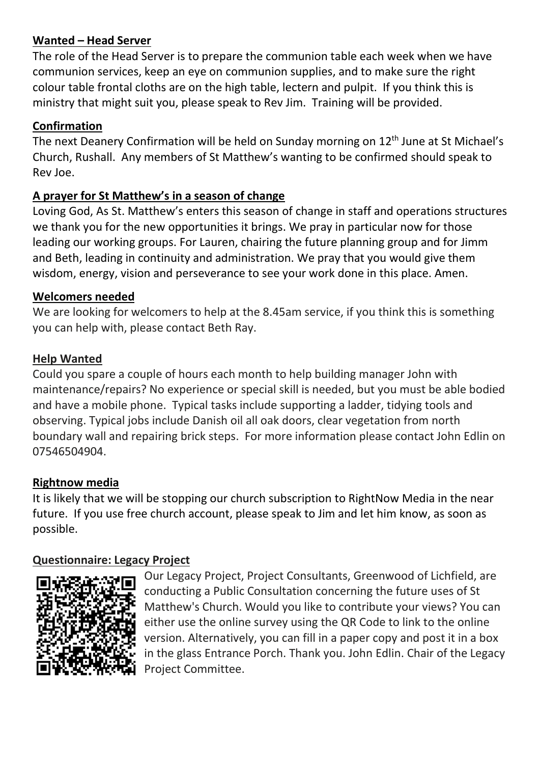#### Wanted – Head Server

The role of the Head Server is to prepare the communion table each week when we have communion services, keep an eye on communion supplies, and to make sure the right colour table frontal cloths are on the high table, lectern and pulpit. If you think this is ministry that might suit you, please speak to Rev Jim. Training will be provided.

# Confirmation

The next Deanery Confirmation will be held on Sunday morning on 12<sup>th</sup> June at St Michael's Church, Rushall. Any members of St Matthew's wanting to be confirmed should speak to Rev Joe.

# A prayer for St Matthew's in a season of change

Loving God, As St. Matthew's enters this season of change in staff and operations structures we thank you for the new opportunities it brings. We pray in particular now for those leading our working groups. For Lauren, chairing the future planning group and for Jimm and Beth, leading in continuity and administration. We pray that you would give them wisdom, energy, vision and perseverance to see your work done in this place. Amen.

#### Welcomers needed

We are looking for welcomers to help at the 8.45am service, if you think this is something you can help with, please contact Beth Ray.

# Help Wanted

Could you spare a couple of hours each month to help building manager John with maintenance/repairs? No experience or special skill is needed, but you must be able bodied and have a mobile phone. Typical tasks include supporting a ladder, tidying tools and observing. Typical jobs include Danish oil all oak doors, clear vegetation from north boundary wall and repairing brick steps. For more information please contact John Edlin on 07546504904.

# Rightnow media

It is likely that we will be stopping our church subscription to RightNow Media in the near future. If you use free church account, please speak to Jim and let him know, as soon as possible.

# Questionnaire: Legacy Project



Our Legacy Project, Project Consultants, Greenwood of Lichfield, are conducting a Public Consultation concerning the future uses of St Matthew's Church. Would you like to contribute your views? You can either use the online survey using the QR Code to link to the online version. Alternatively, you can fill in a paper copy and post it in a box in the glass Entrance Porch. Thank you. John Edlin. Chair of the Legacy Project Committee.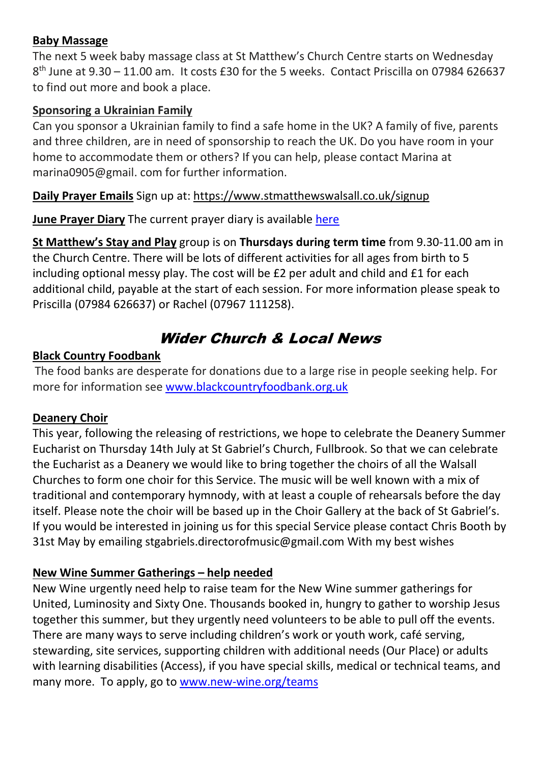#### Baby Massage

The next 5 week baby massage class at St Matthew's Church Centre starts on Wednesday 8<sup>th</sup> June at 9.30 - 11.00 am. It costs £30 for the 5 weeks. Contact Priscilla on 07984 626637 to find out more and book a place.

# Sponsoring a Ukrainian Family

Can you sponsor a Ukrainian family to find a safe home in the UK? A family of five, parents and three children, are in need of sponsorship to reach the UK. Do you have room in your home to accommodate them or others? If you can help, please contact Marina at marina0905@gmail. com for further information.

Daily Prayer Emails Sign up at: https://www.stmatthewswalsall.co.uk/signup

June Prayer Diary The current prayer diary is available here

St Matthew's Stay and Play group is on Thursdays during term time from 9.30-11.00 am in the Church Centre. There will be lots of different activities for all ages from birth to 5 including optional messy play. The cost will be £2 per adult and child and £1 for each additional child, payable at the start of each session. For more information please speak to Priscilla (07984 626637) or Rachel (07967 111258).

# Wider Church & Local News

# Black Country Foodbank

The food banks are desperate for donations due to a large rise in people seeking help. For more for information see www.blackcountryfoodbank.org.uk

# Deanery Choir

This year, following the releasing of restrictions, we hope to celebrate the Deanery Summer Eucharist on Thursday 14th July at St Gabriel's Church, Fullbrook. So that we can celebrate the Eucharist as a Deanery we would like to bring together the choirs of all the Walsall Churches to form one choir for this Service. The music will be well known with a mix of traditional and contemporary hymnody, with at least a couple of rehearsals before the day itself. Please note the choir will be based up in the Choir Gallery at the back of St Gabriel's. If you would be interested in joining us for this special Service please contact Chris Booth by 31st May by emailing stgabriels.directorofmusic@gmail.com With my best wishes

# New Wine Summer Gatherings – help needed

New Wine urgently need help to raise team for the New Wine summer gatherings for United, Luminosity and Sixty One. Thousands booked in, hungry to gather to worship Jesus together this summer, but they urgently need volunteers to be able to pull off the events. There are many ways to serve including children's work or youth work, café serving, stewarding, site services, supporting children with additional needs (Our Place) or adults with learning disabilities (Access), if you have special skills, medical or technical teams, and many more. To apply, go to www.new-wine.org/teams